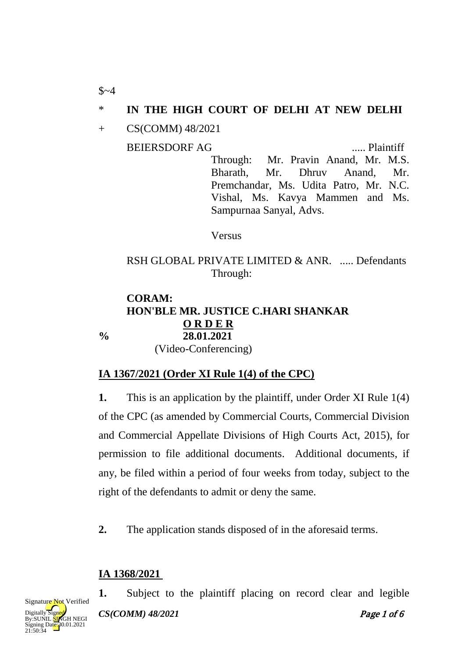### \* **IN THE HIGH COURT OF DELHI AT NEW DELHI**

+ CS(COMM) 48/2021

BEIERSDORF AG ..... Plaintiff

Through: Mr. Pravin Anand, Mr. M.S. Bharath, Mr. Dhruv Anand, Mr. Premchandar, Ms. Udita Patro, Mr. N.C. Vishal, Ms. Kavya Mammen and Ms. Sampurnaa Sanyal, Advs.

Versus

#### RSH GLOBAL PRIVATE LIMITED & ANR. ..... Defendants Through:

#### **CORAM: HON'BLE MR. JUSTICE C.HARI SHANKAR % 28.01.2021 O R D E R**

(Video-Conferencing)

# **IA 1367/2021 (Order XI Rule 1(4) of the CPC)**

**1.** This is an application by the plaintiff, under Order XI Rule 1(4) of the CPC (as amended by Commercial Courts, Commercial Division and Commercial Appellate Divisions of High Courts Act, 2015), for permission to file additional documents. Additional documents, if any, be filed within a period of four weeks from today, subject to the right of the defendants to admit or deny the same.

**2.** The application stands disposed of in the aforesaid terms.

### **IA 1368/2021**

*CS(COMM) 48/2021* Page 1 of 6 **1.** Subject to the plaintiff placing on record clear and legible



 $$~4$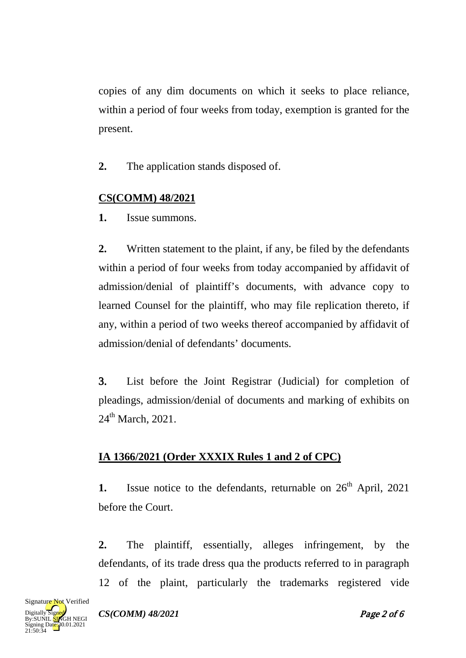copies of any dim documents on which it seeks to place reliance, within a period of four weeks from today, exemption is granted for the present.

**2.** The application stands disposed of.

# **CS(COMM) 48/2021**

**1.** Issue summons.

**2.** Written statement to the plaint, if any, be filed by the defendants within a period of four weeks from today accompanied by affidavit of admission/denial of plaintiff's documents, with advance copy to learned Counsel for the plaintiff, who may file replication thereto, if any, within a period of two weeks thereof accompanied by affidavit of admission/denial of defendants' documents.

3. List before the Joint Registrar (Judicial) for completion of pleadings, admission/denial of documents and marking of exhibits on  $24<sup>th</sup>$  March, 2021.

# **IA 1366/2021 (Order XXXIX Rules 1 and 2 of CPC)**

**1.** Issue notice to the defendants, returnable on  $26<sup>th</sup>$  April, 2021 before the Court.

**2.** The plaintiff, essentially, alleges infringement, by the defendants, of its trade dress qua the products referred to in paragraph 12 of the plaint, particularly the trademarks registered vide

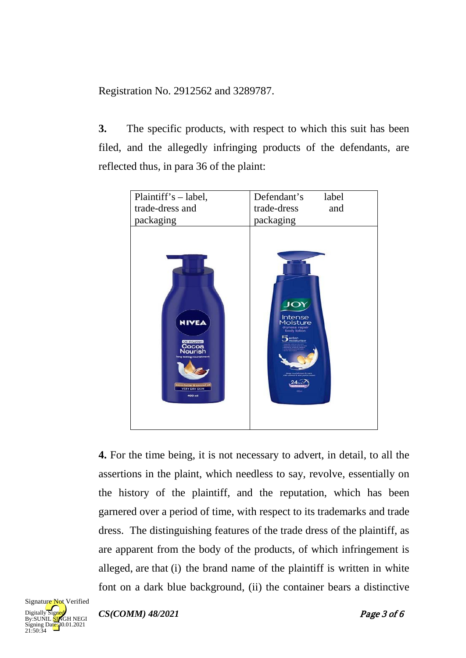Registration No. 2912562 and 3289787.

**3.** The specific products, with respect to which this suit has been filed, and the allegedly infringing products of the defendants, are reflected thus, in para 36 of the plaint:



**4.** For the time being, it is not necessary to advert, in detail, to all the assertions in the plaint, which needless to say, revolve, essentially on the history of the plaintiff, and the reputation, which has been garnered over a period of time, with respect to its trademarks and trade dress. The distinguishing features of the trade dress of the plaintiff, as are apparent from the body of the products, of which infringement is alleged, are that (i) the brand name of the plaintiff is written in white font on a dark blue background, (ii) the container bears a distinctive



*CS(COMM) 48/2021* Page 3 of 6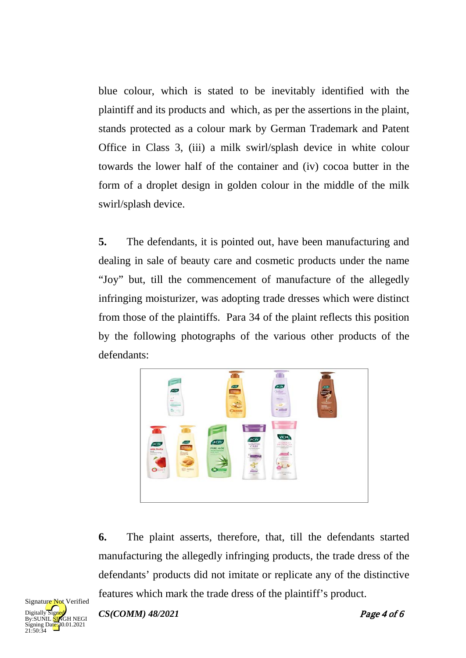blue colour, which is stated to be inevitably identified with the plaintiff and its products and which, as per the assertions in the plaint, stands protected as a colour mark by German Trademark and Patent Office in Class 3, (iii) a milk swirl/splash device in white colour towards the lower half of the container and (iv) cocoa butter in the form of a droplet design in golden colour in the middle of the milk swirl/splash device.

**5.** The defendants, it is pointed out, have been manufacturing and dealing in sale of beauty care and cosmetic products under the name "Joy" but, till the commencement of manufacture of the allegedly infringing moisturizer, was adopting trade dresses which were distinct from those of the plaintiffs. Para 34 of the plaint reflects this position by the following photographs of the various other products of the defendants:



**6.** The plaint asserts, therefore, that, till the defendants started manufacturing the allegedly infringing products, the trade dress of the defendants' products did not imitate or replicate any of the distinctive features which mark the trade dress of the plaintiff's product.



*CS(COMM) 48/2021* Page 4 of 6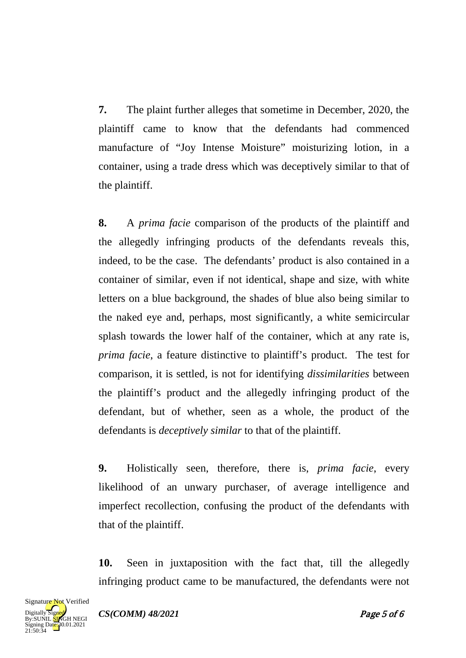**7.** The plaint further alleges that sometime in December, 2020, the plaintiff came to know that the defendants had commenced manufacture of "Joy Intense Moisture" moisturizing lotion, in a container, using a trade dress which was deceptively similar to that of the plaintiff.

**8.** A *prima facie* comparison of the products of the plaintiff and the allegedly infringing products of the defendants reveals this, indeed, to be the case. The defendants' product is also contained in a container of similar, even if not identical, shape and size, with white letters on a blue background, the shades of blue also being similar to the naked eye and, perhaps, most significantly, a white semicircular splash towards the lower half of the container, which at any rate is, *prima facie*, a feature distinctive to plaintiff's product. The test for comparison, it is settled, is not for identifying *dissimilarities* between the plaintiff's product and the allegedly infringing product of the defendant, but of whether, seen as a whole, the product of the defendants is *deceptively similar* to that of the plaintiff.

**9.** Holistically seen, therefore, there is, *prima facie*, every likelihood of an unwary purchaser, of average intelligence and imperfect recollection, confusing the product of the defendants with that of the plaintiff.

**10.** Seen in juxtaposition with the fact that, till the allegedly infringing product came to be manufactured, the defendants were not